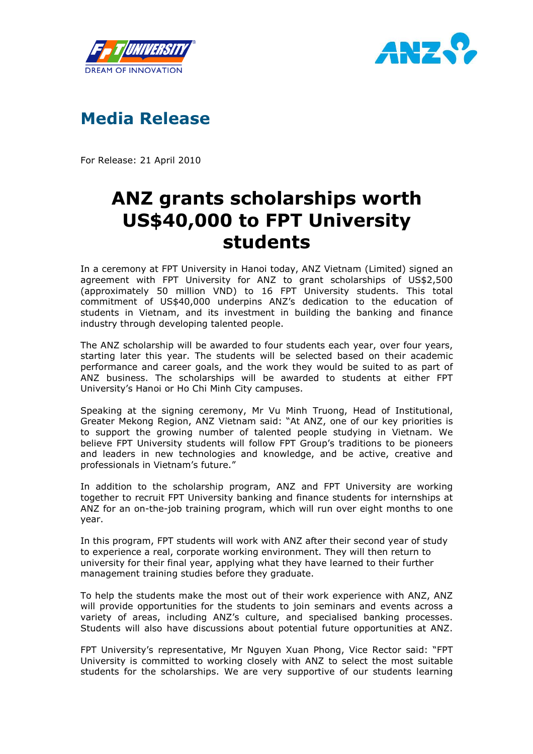





For Release: 21 April 2010

## ANZ grants scholarships worth US\$40,000 to FPT University students

In a ceremony at FPT University in Hanoi today, ANZ Vietnam (Limited) signed an agreement with FPT University for ANZ to grant scholarships of US\$2,500 (approximately 50 million VND) to 16 FPT University students. This total commitment of US\$40,000 underpins ANZ's dedication to the education of students in Vietnam, and its investment in building the banking and finance industry through developing talented people.

The ANZ scholarship will be awarded to four students each year, over four years, starting later this year. The students will be selected based on their academic performance and career goals, and the work they would be suited to as part of ANZ business. The scholarships will be awarded to students at either FPT University's Hanoi or Ho Chi Minh City campuses.

Speaking at the signing ceremony, Mr Vu Minh Truong, Head of Institutional, Greater Mekong Region, ANZ Vietnam said: "At ANZ, one of our key priorities is to support the growing number of talented people studying in Vietnam. We believe FPT University students will follow FPT Group's traditions to be pioneers and leaders in new technologies and knowledge, and be active, creative and professionals in Vietnam's future."

In addition to the scholarship program, ANZ and FPT University are working together to recruit FPT University banking and finance students for internships at ANZ for an on-the-job training program, which will run over eight months to one year.

In this program, FPT students will work with ANZ after their second year of study to experience a real, corporate working environment. They will then return to university for their final year, applying what they have learned to their further management training studies before they graduate.

To help the students make the most out of their work experience with ANZ, ANZ will provide opportunities for the students to join seminars and events across a variety of areas, including ANZ's culture, and specialised banking processes. Students will also have discussions about potential future opportunities at ANZ.

FPT University's representative, Mr Nguyen Xuan Phong, Vice Rector said: "FPT University is committed to working closely with ANZ to select the most suitable students for the scholarships. We are very supportive of our students learning